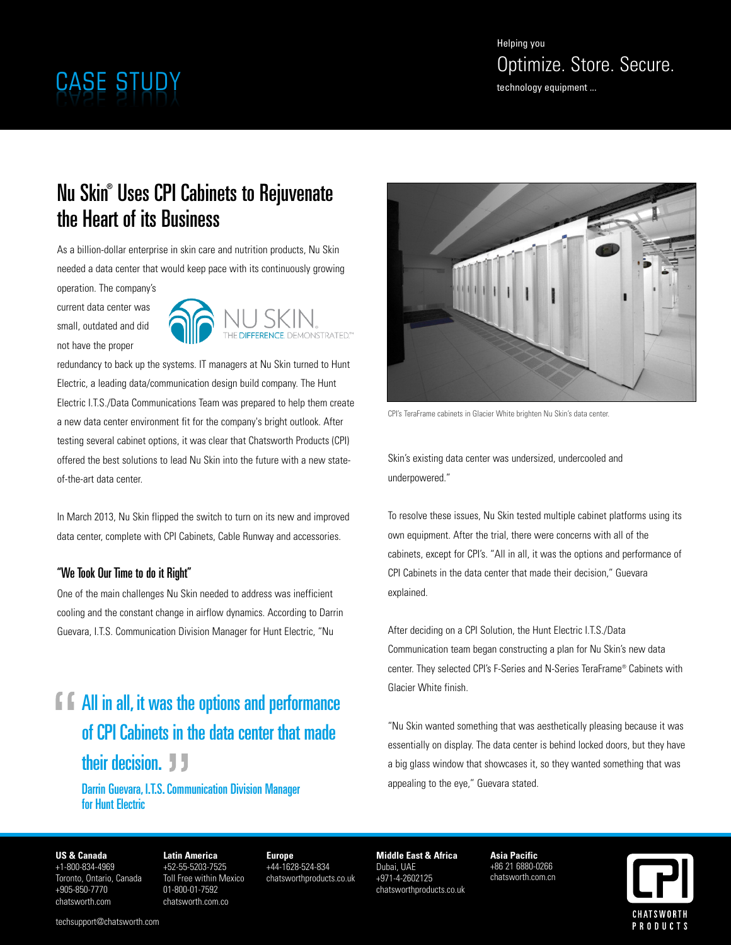## Nu Skin ® Uses CPI Cabinets to Rejuvenate the Heart of its Business

As a billion-dollar enterprise in skin care and nutrition products, Nu Skin needed a data center that would keep pace with its continuously growing

operation. The company's current data center was small, outdated and did not have the proper



redundancy to back up the systems. IT managers at Nu Skin turned to Hunt Electric, a leading data/communication design build company. The Hunt Electric I.T.S./Data Communications Team was prepared to help them create a new data center environment fit for the company's bright outlook. After testing several cabinet options, it was clear that Chatsworth Products (CPI) offered the best solutions to lead Nu Skin into the future with a new stateof-the-art data center.

In March 2013, Nu Skin flipped the switch to turn on its new and improved data center, complete with CPI Cabinets, Cable Runway and accessories.

### "We Took Our Time to do it Right"

One of the main challenges Nu Skin needed to address was inefficient cooling and the constant change in airflow dynamics. According to Darrin Guevara, I.T.S. Communication Division Manager for Hunt Electric, "Nu

# **F All** in all, it was the options and performance of CPI Cabinets in the data center that made their decision. **J**

Darrin Guevara, I.T.S.Communication Division Manager for Hunt Electric



CPI's TeraFrame cabinets in Glacier White brighten Nu Skin's data center.

Skin's existing data center was undersized, undercooled and underpowered."

To resolve these issues, Nu Skin tested multiple cabinet platforms using its own equipment. After the trial, there were concerns with all of the cabinets, except for CPI's. "All in all, it was the options and performance of CPI Cabinets in the data center that made their decision," Guevara explained.

After deciding on a CPI Solution, the Hunt Electric I.T.S./Data Communication team began constructing a plan for Nu Skin's new data center. They selected CPI's F-Series and N-Series TeraFrame® Cabinets with Glacier White finish.

"Nu Skin wanted something that was aesthetically pleasing because it was essentially on display. The data center is behind locked doors, but they have a big glass window that showcases it, so they wanted something that was appealing to the eye," Guevara stated.

#### **US & Canada**

+1-800-834-4969 Toronto, Ontario, Canada +905-850-7770 chatsworth.com

**Latin America** +52-55-5203-7525 Toll Free within Mexico 01-800-01-7592 chatsworth.com.co

**Europe** +44-1628-524-834 chatsworthproducts.co.uk

**Middle East & Africa** Dubai, UAE +971-4-2602125 chatsworthproducts.co.uk

**Asia Pacific** +86 21 6880-0266 chatsworth.com.cn

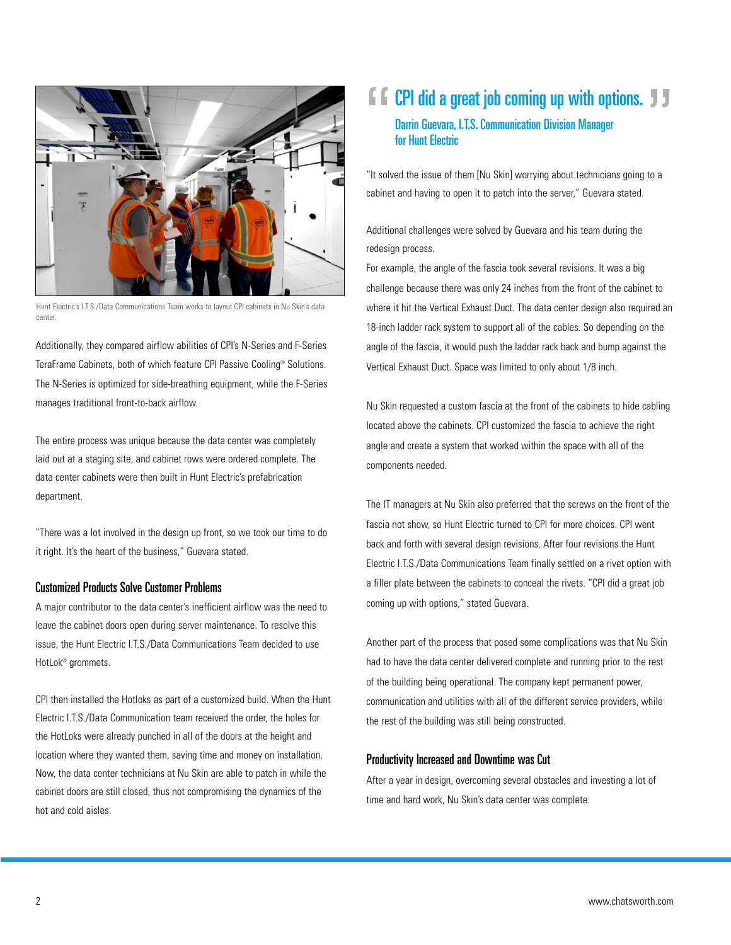

Hunt Electric's I.T.S./Data Communications Team works to layout CPI cabinets in Nu Skin's data center.

Additionally, they compared airflow abilities of CPI's N-Series and F-Series TeraFrame Cabinets, both of which feature CPI Passive Cooling® Solutions. The N-Series is optimized for side-breathing equipment, while the F-Series manages traditional front-to-back airflow.

The entire process was unique because the data center was completely laid out at a staging site, and cabinet rows were ordered complete. The data center cabinets were then built in Hunt Electric's prefabrication department.

"There was a lot involved in the design up front, so we took our time to do it right. It's the heart of the business," Guevara stated.

#### Customized Products Solve Customer Problems

A major contributor to the data center's inefficient airflow was the need to leave the cabinet doors open during server maintenance. To resolve this issue, the Hunt Electric I.T.S./Data Communications Team decided to use HotLok® grommets.

CPI then installed the Hotloks as part of a customized build. When the Hunt Electric I.T.S./Data Communication team received the order, the holes for the HotLoks were already punched in all of the doors at the height and location where they wanted them, saving time and money on installation. Now, the data center technicians at Nu Skin are able to patch in while the cabinet doors are still closed, thus not compromising the dynamics of the hot and cold aisles.

### $\Gamma$   $\Gamma$  CPI did a great job coming up with options.  $\Gamma$ Darrin Guevara, I.T.S.Communication Division Manager for Hunt Electric

"It solved the issue of them [Nu Skin] worrying about technicians going to a cabinet and having to open it to patch into the server," Guevara stated.

Additional challenges were solved by Guevara and his team during the redesign process.

For example, the angle of the fascia took several revisions. It was a big challenge because there was only 24 inches from the front of the cabinet to where it hit the Vertical Exhaust Duct. The data center design also required an 18-inch ladder rack system to support all of the cables. So depending on the angle of the fascia, it would push the ladder rack back and bump against the Vertical Exhaust Duct. Space was limited to only about 1/8 inch.

Nu Skin requested a custom fascia at the front of the cabinets to hide cabling located above the cabinets. CPI customized the fascia to achieve the right angle and create a system that worked within the space with all of the components needed.

The IT managers at Nu Skin also preferred that the screws on the front of the fascia not show, so Hunt Electric turned to CPI for more choices. CPI went back and forth with several design revisions. After four revisions the Hunt Electric I.T.S./Data Communications Team finally settled on a rivet option with a filler plate between the cabinets to conceal the rivets. "CPI did a great job coming up with options," stated Guevara.

Another part of the process that posed some complications was that Nu Skin had to have the data center delivered complete and running prior to the rest of the building being operational. The company kept permanent power, communication and utilities with all of the different service providers, while the rest of the building was still being constructed.

#### Productivity Increased and Downtime was Cut

After a year in design, overcoming several obstacles and investing a lot of time and hard work, Nu Skin's data center was complete.